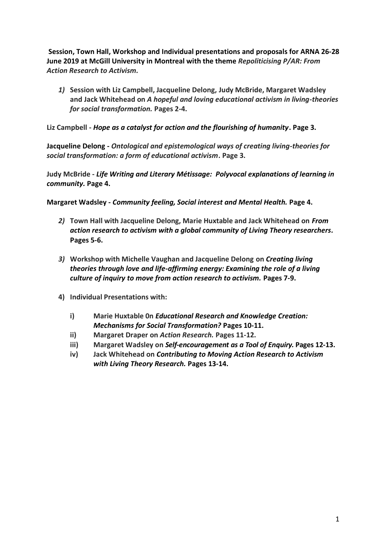**Session, Town Hall, Workshop and Individual presentations and proposals for ARNA 26-28 June 2019 at McGill University in Montreal with the theme** *Repoliticising P/AR: From Action Research to Activism.*

*1)* **Session with Liz Campbell, Jacqueline Delong, Judy McBride, Margaret Wadsley and Jack Whitehead on** *A hopeful and loving educational activism in living-theories for social transformation.* **Pages 2-4.**

**Liz Campbell -** *Hope as a catalyst for action and the flourishing of humanity***. Page 3.**

**Jacqueline Delong -** *Ontological and epistemological ways of creating living-theories for social transformation: a form of educational activism***. Page 3.**

**Judy McBride -** *Life Writing and Literary Métissage: Polyvocal explanations of learning in community.* **Page 4.**

**Margaret Wadsley -** *Community feeling, Social interest and Mental Health.* **Page 4.**

- *2)* **Town Hall with Jacqueline Delong, Marie Huxtable and Jack Whitehead on** *From action research to activism with a global community of Living Theory researchers.* **Pages 5-6.**
- *3)* **Workshop with Michelle Vaughan and Jacqueline Delong on** *Creating living theories through love and life-affirming energy: Examining the role of a living culture of inquiry to move from action research to activism.* **Pages 7-9.**
- **4) Individual Presentations with:**
	- **i) Marie Huxtable 0n** *Educational Research and Knowledge Creation: Mechanisms for Social Transformation?* **Pages 10-11.**
	- **ii) Margaret Draper on** *Action Research.* **Pages 11-12.**
	- **iii) Margaret Wadsley on** *Self-encouragement as a Tool of Enquiry.* **Pages 12-13.**
	- **iv) Jack Whitehead on** *Contributing to Moving Action Research to Activism with Living Theory Research.* **Pages 13-14.**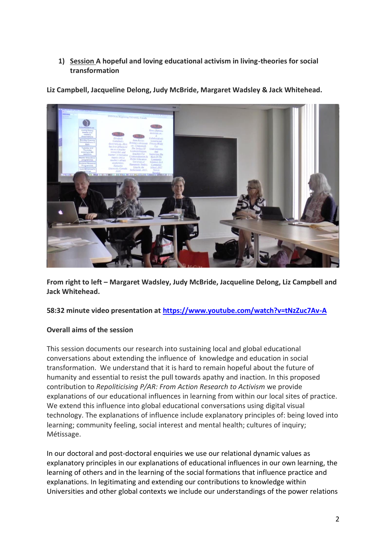## **1) Session A hopeful and loving educational activism in living-theories for social transformation**

**Liz Campbell, Jacqueline Delong, Judy McBride, Margaret Wadsley & Jack Whitehead.**



**From right to left – Margaret Wadsley, Judy McBride, Jacqueline Delong, Liz Campbell and Jack Whitehead.**

# **58:32 minute video presentation at<https://www.youtube.com/watch?v=tNzZuc7Av-A>**

# **Overall aims of the session**

This session documents our research into sustaining local and global educational conversations about extending the influence of knowledge and education in social transformation. We understand that it is hard to remain hopeful about the future of humanity and essential to resist the pull towards apathy and inaction. In this proposed contribution to *Repoliticising P/AR: From Action Research to Activism* we provide explanations of our educational influences in learning from within our local sites of practice. We extend this influence into global educational conversations using digital visual technology. The explanations of influence include explanatory principles of: being loved into learning; community feeling, social interest and mental health; cultures of inquiry; Métissage.

In our doctoral and post-doctoral enquiries we use our relational dynamic values as explanatory principles in our explanations of educational influences in our own learning, the learning of others and in the learning of the social formations that influence practice and explanations. In legitimating and extending our contributions to knowledge within Universities and other global contexts we include our understandings of the power relations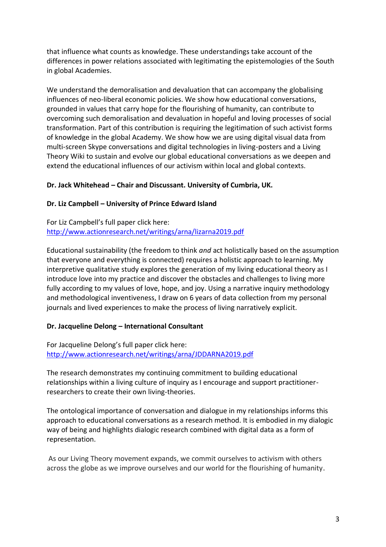that influence what counts as knowledge. These understandings take account of the differences in power relations associated with legitimating the epistemologies of the South in global Academies.

We understand the demoralisation and devaluation that can accompany the globalising influences of neo-liberal economic policies. We show how educational conversations, grounded in values that carry hope for the flourishing of humanity, can contribute to overcoming such demoralisation and devaluation in hopeful and loving processes of social transformation. Part of this contribution is requiring the legitimation of such activist forms of knowledge in the global Academy. We show how we are using digital visual data from multi-screen Skype conversations and digital technologies in living-posters and a Living Theory Wiki to sustain and evolve our global educational conversations as we deepen and extend the educational influences of our activism within local and global contexts.

## **Dr. Jack Whitehead – Chair and Discussant. University of Cumbria, UK.**

## **Dr. Liz Campbell – University of Prince Edward Island**

For Liz Campbell's full paper click here: <http://www.actionresearch.net/writings/arna/lizarna2019.pdf>

Educational sustainability (the freedom to think *and* act holistically based on the assumption that everyone and everything is connected) requires a holistic approach to learning. My interpretive qualitative study explores the generation of my living educational theory as I introduce love into my practice and discover the obstacles and challenges to living more fully according to my values of love, hope, and joy. Using a narrative inquiry methodology and methodological inventiveness, I draw on 6 years of data collection from my personal journals and lived experiences to make the process of living narratively explicit.

## **Dr. Jacqueline Delong – International Consultant**

For Jacqueline Delong's full paper click here: <http://www.actionresearch.net/writings/arna/JDDARNA2019.pdf>

The research demonstrates my continuing commitment to building educational relationships within a living culture of inquiry as I encourage and support practitionerresearchers to create their own living-theories.

The ontological importance of conversation and dialogue in my relationships informs this approach to educational conversations as a research method. It is embodied in my dialogic way of being and highlights dialogic research combined with digital data as a form of representation.

As our Living Theory movement expands, we commit ourselves to activism with others across the globe as we improve ourselves and our world for the flourishing of humanity.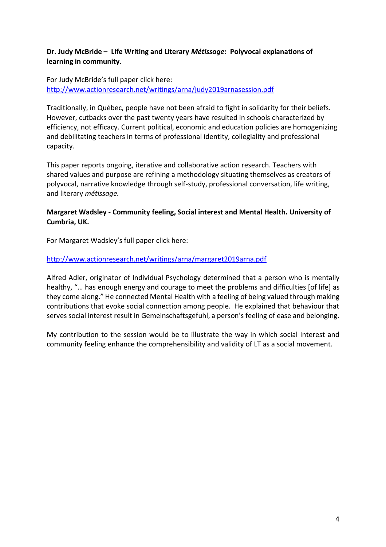## **Dr. Judy McBride – Life Writing and Literary** *Métissage***: Polyvocal explanations of learning in community.**

For Judy McBride's full paper click here: <http://www.actionresearch.net/writings/arna/judy2019arnasession.pdf>

Traditionally, in Québec, people have not been afraid to fight in solidarity for their beliefs. However, cutbacks over the past twenty years have resulted in schools characterized by efficiency, not efficacy. Current political, economic and education policies are homogenizing and debilitating teachers in terms of professional identity, collegiality and professional capacity.

This paper reports ongoing, iterative and collaborative action research. Teachers with shared values and purpose are refining a methodology situating themselves as creators of polyvocal, narrative knowledge through self-study, professional conversation, life writing, and literary *métissage.*

## **Margaret Wadsley - Community feeling, Social interest and Mental Health. University of Cumbria, UK.**

For Margaret Wadsley's full paper click here:

## <http://www.actionresearch.net/writings/arna/margaret2019arna.pdf>

Alfred Adler, originator of Individual Psychology determined that a person who is mentally healthy, "… has enough energy and courage to meet the problems and difficulties [of life] as they come along." He connected Mental Health with a feeling of being valued through making contributions that evoke social connection among people. He explained that behaviour that serves social interest result in Gemeinschaftsgefuhl, a person's feeling of ease and belonging.

My contribution to the session would be to illustrate the way in which social interest and community feeling enhance the comprehensibility and validity of LT as a social movement.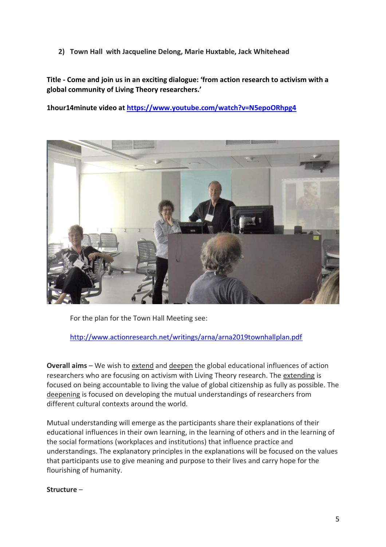**2) Town Hall with Jacqueline Delong, Marie Huxtable, Jack Whitehead**

**Title - Come and join us in an exciting dialogue: 'from action research to activism with a global community of Living Theory researchers.'** 

**1hour14minute video at<https://www.youtube.com/watch?v=N5epoORhpg4>**



For the plan for the Town Hall Meeting see:

<http://www.actionresearch.net/writings/arna/arna2019townhallplan.pdf>

**Overall aims** – We wish to extend and deepen the global educational influences of action researchers who are focusing on activism with Living Theory research. The extending is focused on being accountable to living the value of global citizenship as fully as possible. The deepening is focused on developing the mutual understandings of researchers from different cultural contexts around the world.

Mutual understanding will emerge as the participants share their explanations of their educational influences in their own learning, in the learning of others and in the learning of the social formations (workplaces and institutions) that influence practice and understandings. The explanatory principles in the explanations will be focused on the values that participants use to give meaning and purpose to their lives and carry hope for the flourishing of humanity.

## **Structure** –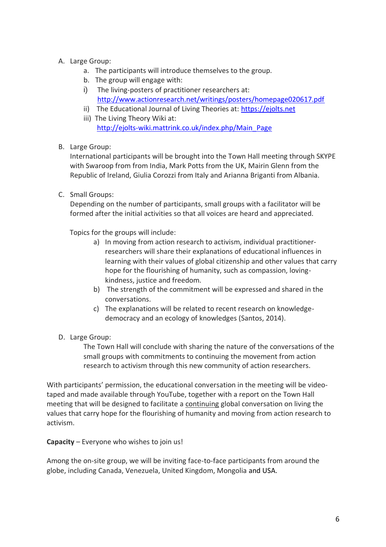## A. Large Group:

- a. The participants will introduce themselves to the group.
- b. The group will engage with:
- i) The living-posters of practitioner researchers at: <http://www.actionresearch.net/writings/posters/homepage020617.pdf>
- ii) The Educational Journal of Living Theories at: [https://ejolts.net](https://ejolts.net/)
- iii) The Living Theory Wiki at: [http://ejolts-wiki.mattrink.co.uk/index.php/Main\\_Page](http://ejolts-wiki.mattrink.co.uk/index.php/Main_Page)

## B. Large Group:

International participants will be brought into the Town Hall meeting through SKYPE with Swaroop from from India, Mark Potts from the UK, Mairin Glenn from the Republic of Ireland, Giulia Corozzi from Italy and Arianna Briganti from Albania.

C. Small Groups:

Depending on the number of participants, small groups with a facilitator will be formed after the initial activities so that all voices are heard and appreciated.

Topics for the groups will include:

- a) In moving from action research to activism, individual practitionerresearchers will share their explanations of educational influences in learning with their values of global citizenship and other values that carry hope for the flourishing of humanity, such as compassion, lovingkindness, justice and freedom.
- b) The strength of the commitment will be expressed and shared in the conversations.
- c) The explanations will be related to recent research on knowledgedemocracy and an ecology of knowledges (Santos, 2014).
- D. Large Group:

The Town Hall will conclude with sharing the nature of the conversations of the small groups with commitments to continuing the movement from action research to activism through this new community of action researchers.

With participants' permission, the educational conversation in the meeting will be videotaped and made available through YouTube, together with a report on the Town Hall meeting that will be designed to facilitate a continuing global conversation on living the values that carry hope for the flourishing of humanity and moving from action research to activism.

**Capacity** – Everyone who wishes to join us!

Among the on-site group, we will be inviting face-to-face participants from around the globe, including Canada, Venezuela, United Kingdom, Mongolia and USA.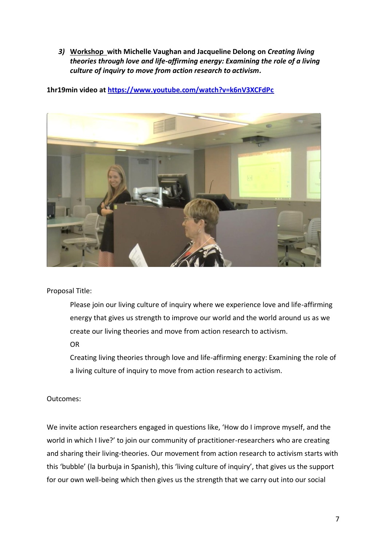*3)* **Workshop with Michelle Vaughan and Jacqueline Delong on** *Creating living theories through love and life-affirming energy: Examining the role of a living culture of inquiry to move from action research to activism.*

**1hr19min video at<https://www.youtube.com/watch?v=k6nV3XCFdPc>**



Proposal Title:

Please join our living culture of inquiry where we experience love and life-affirming energy that gives us strength to improve our world and the world around us as we create our living theories and move from action research to activism.

OR

Creating living theories through love and life-affirming energy: Examining the role of a living culture of inquiry to move from action research to activism.

## Outcomes:

We invite action researchers engaged in questions like, 'How do I improve myself, and the world in which I live?' to join our community of practitioner-researchers who are creating and sharing their living-theories. Our movement from action research to activism starts with this 'bubble' (la burbuja in Spanish), this 'living culture of inquiry', that gives us the support for our own well-being which then gives us the strength that we carry out into our social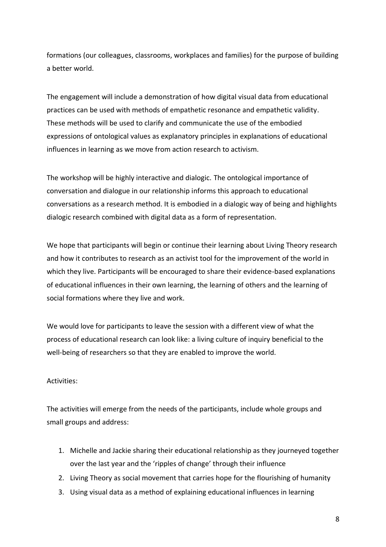formations (our colleagues, classrooms, workplaces and families) for the purpose of building a better world.

The engagement will include a demonstration of how digital visual data from educational practices can be used with methods of empathetic resonance and empathetic validity. These methods will be used to clarify and communicate the use of the embodied expressions of ontological values as explanatory principles in explanations of educational influences in learning as we move from action research to activism.

The workshop will be highly interactive and dialogic. The ontological importance of conversation and dialogue in our relationship informs this approach to educational conversations as a research method. It is embodied in a dialogic way of being and highlights dialogic research combined with digital data as a form of representation.

We hope that participants will begin or continue their learning about Living Theory research and how it contributes to research as an activist tool for the improvement of the world in which they live. Participants will be encouraged to share their evidence-based explanations of educational influences in their own learning, the learning of others and the learning of social formations where they live and work.

We would love for participants to leave the session with a different view of what the process of educational research can look like: a living culture of inquiry beneficial to the well-being of researchers so that they are enabled to improve the world.

#### Activities:

The activities will emerge from the needs of the participants, include whole groups and small groups and address:

- 1. Michelle and Jackie sharing their educational relationship as they journeyed together over the last year and the 'ripples of change' through their influence
- 2. Living Theory as social movement that carries hope for the flourishing of humanity
- 3. Using visual data as a method of explaining educational influences in learning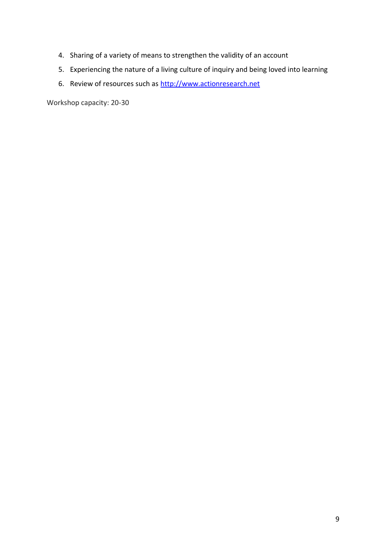- 4. Sharing of a variety of means to strengthen the validity of an account
- 5. Experiencing the nature of a living culture of inquiry and being loved into learning
- 6. Review of resources such as [http://www.actionresearch.net](http://www.actionresearch.net/)

Workshop capacity: 20-30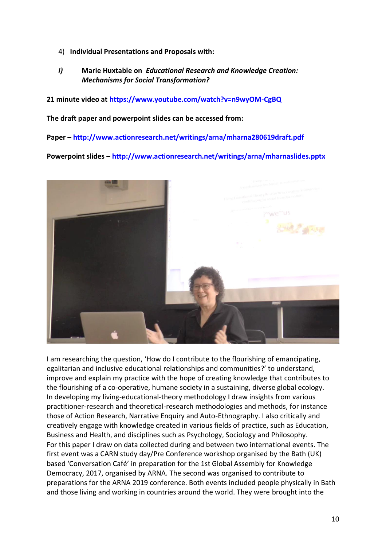- 4) **Individual Presentations and Proposals with:**
- *i)* **Marie Huxtable on** *Educational Research and Knowledge Creation: Mechanisms for Social Transformation?*

**21 minute video at<https://www.youtube.com/watch?v=n9wyOM-CgBQ>**

**The draft paper and powerpoint slides can be accessed from:**

**Paper – <http://www.actionresearch.net/writings/arna/mharna280619draft.pdf>**

**Powerpoint slides – <http://www.actionresearch.net/writings/arna/mharnaslides.pptx>**



I am researching the question, 'How do I contribute to the flourishing of emancipating, egalitarian and inclusive educational relationships and communities?' to understand, improve and explain my practice with the hope of creating knowledge that contributes to the flourishing of a co-operative, humane society in a sustaining, diverse global ecology. In developing my living-educational-theory methodology I draw insights from various practitioner-research and theoretical-research methodologies and methods, for instance those of Action Research, Narrative Enquiry and Auto-Ethnography. I also critically and creatively engage with knowledge created in various fields of practice, such as Education, Business and Health, and disciplines such as Psychology, Sociology and Philosophy. For this paper I draw on data collected during and between two international events. The first event was a CARN study day/Pre Conference workshop organised by the Bath (UK) based 'Conversation Café' in preparation for the 1st Global Assembly for Knowledge Democracy, 2017, organised by ARNA. The second was organised to contribute to preparations for the ARNA 2019 conference. Both events included people physically in Bath and those living and working in countries around the world. They were brought into the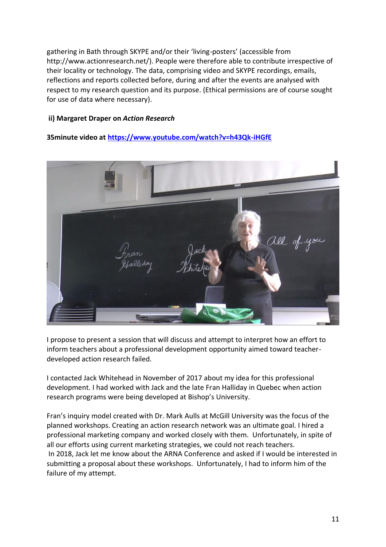gathering in Bath through SKYPE and/or their 'living-posters' (accessible from [http://www.actionresearch.net/\)](http://www.actionresearch.net/). People were therefore able to contribute irrespective of their locality or technology. The data, comprising video and SKYPE recordings, emails, reflections and reports collected before, during and after the events are analysed with respect to my research question and its purpose. (Ethical permissions are of course sought for use of data where necessary).

#### **ii) Margaret Draper on** *Action Research*

**35minute video a[t https://www.youtube.com/watch?v=h43Qk-iHGfE](https://www.youtube.com/watch?v=h43Qk-iHGfE)**



I propose to present a session that will discuss and attempt to interpret how an effort to inform teachers about a professional development opportunity aimed toward teacherdeveloped action research failed.

I contacted Jack Whitehead in November of 2017 about my idea for this professional development. I had worked with Jack and the late Fran Halliday in Quebec when action research programs were being developed at Bishop's University.

Fran's inquiry model created with Dr. Mark Aulls at McGill University was the focus of the planned workshops. Creating an action research network was an ultimate goal. I hired a professional marketing company and worked closely with them. Unfortunately, in spite of all our efforts using current marketing strategies, we could not reach teachers. In 2018, Jack let me know about the ARNA Conference and asked if I would be interested in submitting a proposal about these workshops. Unfortunately, I had to inform him of the failure of my attempt.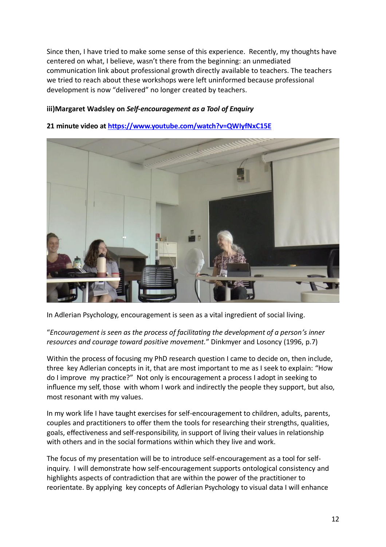Since then, I have tried to make some sense of this experience. Recently, my thoughts have centered on what, I believe, wasn't there from the beginning: an unmediated communication link about professional growth directly available to teachers. The teachers we tried to reach about these workshops were left uninformed because professional development is now "delivered" no longer created by teachers.

## **iii)Margaret Wadsley on** *Self-encouragement as a Tool of Enquiry*

**21 minute video at<https://www.youtube.com/watch?v=QWIyfNxC15E>**

In Adlerian Psychology, encouragement is seen as a vital ingredient of social living.

## "*Encouragement is seen as the process of facilitating the development of a person's inner resources and courage toward positive movement.*" Dinkmyer and Losoncy (1996, p.7)

Within the process of focusing my PhD research question I came to decide on, then include, three key Adlerian concepts in it, that are most important to me as I seek to explain: "How do I improve my practice?" Not only is encouragement a process I adopt in seeking to influence my self, those with whom I work and indirectly the people they support, but also, most resonant with my values.

In my work life I have taught exercises for self-encouragement to children, adults, parents, couples and practitioners to offer them the tools for researching their strengths, qualities, goals, effectiveness and self-responsibility, in support of living their values in relationship with others and in the social formations within which they live and work.

The focus of my presentation will be to introduce self-encouragement as a tool for selfinquiry. I will demonstrate how self-encouragement supports ontological consistency and highlights aspects of contradiction that are within the power of the practitioner to reorientate. By applying key concepts of Adlerian Psychology to visual data I will enhance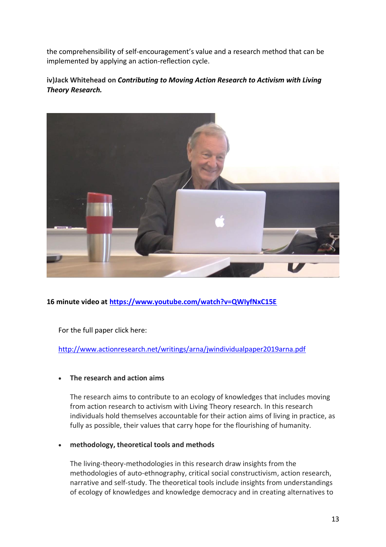the comprehensibility of self-encouragement's value and a research method that can be implemented by applying an action-reflection cycle.

## **iv)Jack Whitehead on** *Contributing to Moving Action Research to Activism with Living Theory Research.*



# **16 minute video at<https://www.youtube.com/watch?v=QWIyfNxC15E>**

For the full paper click here:

<http://www.actionresearch.net/writings/arna/jwindividualpaper2019arna.pdf>

## • **The research and action aims**

The research aims to contribute to an ecology of knowledges that includes moving from action research to activism with Living Theory research. In this research individuals hold themselves accountable for their action aims of living in practice, as fully as possible, their values that carry hope for the flourishing of humanity.

#### • **methodology, theoretical tools and methods**

The living-theory-methodologies in this research draw insights from the methodologies of auto-ethnography, critical social constructivism, action research, narrative and self-study. The theoretical tools include insights from understandings of ecology of knowledges and knowledge democracy and in creating alternatives to